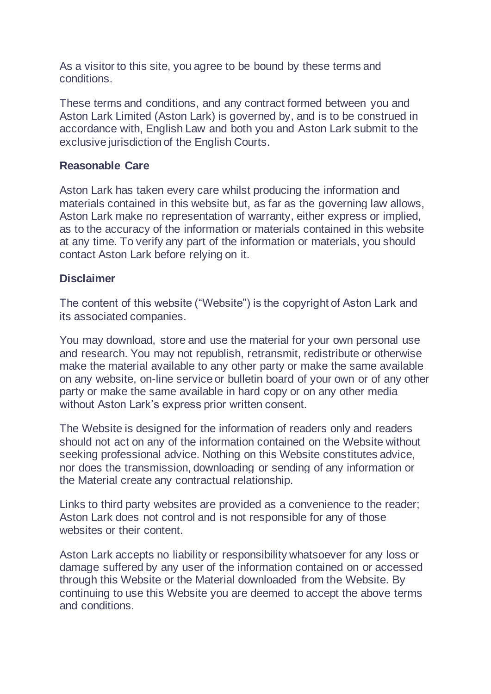As a visitor to this site, you agree to be bound by these terms and conditions.

These terms and conditions, and any contract formed between you and Aston Lark Limited (Aston Lark) is governed by, and is to be construed in accordance with, English Law and both you and Aston Lark submit to the exclusive jurisdiction of the English Courts.

# **Reasonable Care**

Aston Lark has taken every care whilst producing the information and materials contained in this website but, as far as the governing law allows, Aston Lark make no representation of warranty, either express or implied, as to the accuracy of the information or materials contained in this website at any time. To verify any part of the information or materials, you should contact Aston Lark before relying on it.

## **Disclaimer**

The content of this website ("Website") is the copyright of Aston Lark and its associated companies.

You may download, store and use the material for your own personal use and research. You may not republish, retransmit, redistribute or otherwise make the material available to any other party or make the same available on any website, on-line service or bulletin board of your own or of any other party or make the same available in hard copy or on any other media without Aston Lark's express prior written consent.

The Website is designed for the information of readers only and readers should not act on any of the information contained on the Website without seeking professional advice. Nothing on this Website constitutes advice, nor does the transmission, downloading or sending of any information or the Material create any contractual relationship.

Links to third party websites are provided as a convenience to the reader; Aston Lark does not control and is not responsible for any of those websites or their content.

Aston Lark accepts no liability or responsibility whatsoever for any loss or damage suffered by any user of the information contained on or accessed through this Website or the Material downloaded from the Website. By continuing to use this Website you are deemed to accept the above terms and conditions.